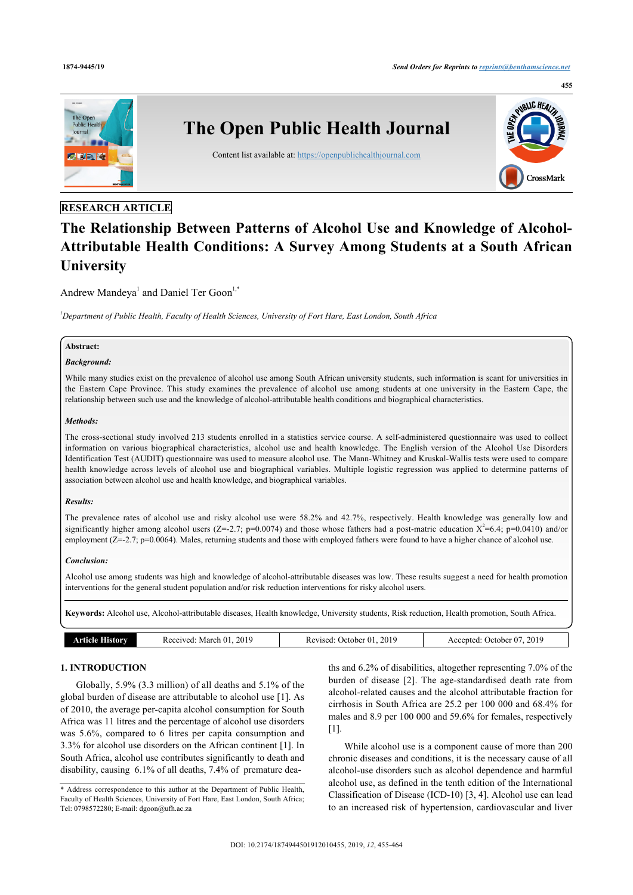

## **RESEARCH ARTICLE**

# **The Relationship Between Patterns of Alcohol Use and Knowledge of Alcohol-Attributable Health Conditions: A Survey Among Students at a South African University**

Andrew Mandeya<sup>[1](#page-0-0)</sup> and Daniel Ter Goon<sup>1,[\\*](#page-0-1)</sup>

<span id="page-0-0"></span>*<sup>1</sup>Department of Public Health, Faculty of Health Sciences, University of Fort Hare, East London, South Africa*

## **Abstract:**

#### *Background:*

While many studies exist on the prevalence of alcohol use among South African university students, such information is scant for universities in the Eastern Cape Province. This study examines the prevalence of alcohol use among students at one university in the Eastern Cape, the relationship between such use and the knowledge of alcohol-attributable health conditions and biographical characteristics.

#### *Methods:*

The cross-sectional study involved 213 students enrolled in a statistics service course. A self-administered questionnaire was used to collect information on various biographical characteristics, alcohol use and health knowledge. The English version of the Alcohol Use Disorders Identification Test (AUDIT) questionnaire was used to measure alcohol use. The Mann-Whitney and Kruskal-Wallis tests were used to compare health knowledge across levels of alcohol use and biographical variables. Multiple logistic regression was applied to determine patterns of association between alcohol use and health knowledge, and biographical variables.

### *Results:*

The prevalence rates of alcohol use and risky alcohol use were 58.2% and 42.7%, respectively. Health knowledge was generally low and significantly higher among alcohol users (Z=-2.7; p=0.0074) and those whose fathers had a post-matric education  $X^2=6.4$ ; p=0.0410) and/or employment (Z=-2.7; p=0.0064). Males, returning students and those with employed fathers were found to have a higher chance of alcohol use.

### *Conclusion:*

Alcohol use among students was high and knowledge of alcohol-attributable diseases was low. These results suggest a need for health promotion interventions for the general student population and/or risk reduction interventions for risky alcohol users.

**Keywords:** Alcohol use, Alcohol-attributable diseases, Health knowledge, University students, Risk reduction, Health promotion, South Africa.

| <b>Article History</b> | 2019<br>March 01.<br>Received: | 2019<br>Revised:<br>: October 01. | .2019<br>October 07<br>Accepted: ' |
|------------------------|--------------------------------|-----------------------------------|------------------------------------|
|                        |                                |                                   |                                    |

## **1. INTRODUCTION**

Globally, 5.9% (3.3 million) of all deaths and 5.1% of the global burden of disease are attributable to alcohol use [[1](#page-8-0)]. As of 2010, the average per-capita alcohol consumption for South Africa was 11 litres and the percentage of alcohol use disorders was 5.6%, compared to 6 litres per capita consumption and 3.3% for alcohol use disorders on the African continent [\[1\]](#page-8-0). In South Africa, alcohol use contributes significantly to death and disability, causing 6.1% of all deaths, 7.4% of premature dea-

ths and 6.2% of disabilities, altogether representing 7.0% of the burden of disease[[2](#page-8-1)]. The age-standardised death rate from alcohol-related causes and the alcohol attributable fraction for cirrhosis in South Africa are 25.2 per 100 000 and 68.4% for males and 8.9 per 100 000 and 59.6% for females, respectively [[1](#page-8-0)].

While alcohol use is a component cause of more than 200 chronic diseases and conditions, it is the necessary cause of all alcohol-use disorders such as alcohol dependence and harmful alcohol use, as defined in the tenth edition of the International Classification of Disease (ICD-10) [[3,](#page-8-2) [4\]](#page-8-3). Alcohol use can lead to an increased risk of hypertension, cardiovascular and liver

<span id="page-0-1"></span><sup>\*</sup> Address correspondence to this author at the Department of Public Health, Faculty of Health Sciences, University of Fort Hare, East London, South Africa; Tel: 0798572280; E-mail: [dgoon@ufh.ac.za](mailto:dgoon@ufh.ac.za)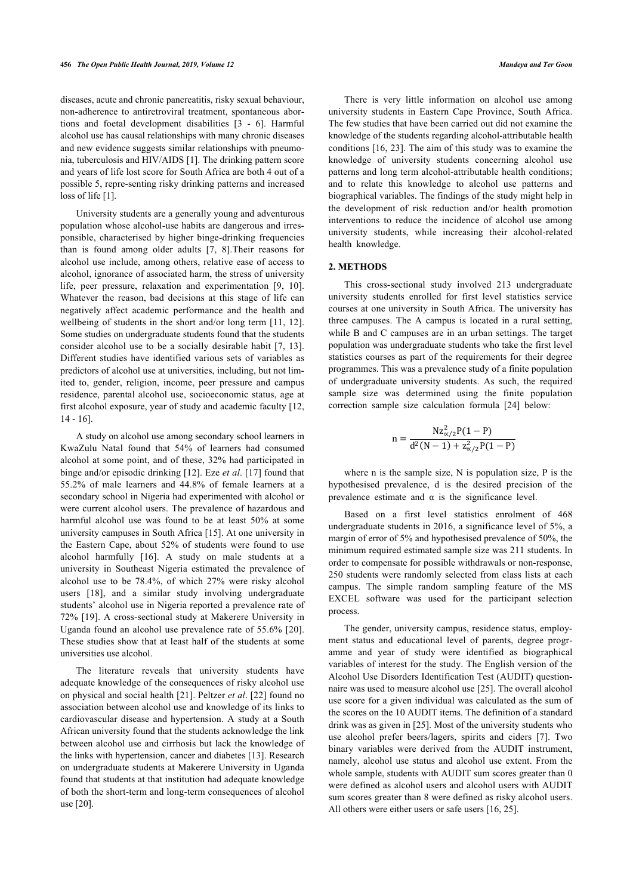diseases, acute and chronic pancreatitis, risky sexual behaviour, non-adherence to antiretroviral treatment, spontaneous abortions and foetal development disabilities [\[3](#page-8-2) - [6](#page-8-4)]. Harmful alcohol use has causal relationships with many chronic diseases and new evidence suggests similar relationships with pneumonia, tuberculosis and HIV/AIDS [[1](#page-8-0)]. The drinking pattern score and years of life lost score for South Africa are both 4 out of a possible 5, repre-senting risky drinking patterns and increased loss of life [[1](#page-8-0)].

University students are a generally young and adventurous population whose alcohol-use habits are dangerous and irresponsible, characterised by higher binge-drinking frequencies than is found among older adults[[7,](#page-8-5) [8](#page-8-6)].Their reasons for alcohol use include, among others, relative ease of access to alcohol, ignorance of associated harm, the stress of university life, peer pressure, relaxation and experimentation [\[9,](#page-8-7) [10\]](#page-8-8). Whatever the reason, bad decisions at this stage of life can negatively affect academic performance and the health and wellbeing of students in the short and/or long term [[11](#page-8-9), [12\]](#page-8-10). Some studies on undergraduate students found that the students consider alcohol use to be a socially desirable habit [\[7](#page-8-5), [13\]](#page-8-11). Different studies have identified various sets of variables as predictors of alcohol use at universities, including, but not limited to, gender, religion, income, peer pressure and campus residence, parental alcohol use, socioeconomic status, age at first alcohol exposure, year of study and academic faculty [[12](#page-8-10), [14](#page-8-12) - [16](#page-8-13)].

A study on alcohol use among secondary school learners in KwaZulu Natal found that 54% of learners had consumed alcohol at some point, and of these, 32% had participated in binge and/or episodic drinking [[12](#page-8-10)]. Eze *et al*. [[17\]](#page-8-14) found that 55.2% of male learners and 44.8% of female learners at a secondary school in Nigeria had experimented with alcohol or were current alcohol users. The prevalence of hazardous and harmful alcohol use was found to be at least 50% at some university campuses in South Africa [[15](#page-8-15)]. At one university in the Eastern Cape, about 52% of students were found to use alcohol harmfully [\[16](#page-8-13)]. A study on male students at a university in Southeast Nigeria estimated the prevalence of alcohol use to be 78.4%, of which 27% were risky alcohol users[[18\]](#page-8-16), and a similar study involving undergraduate students' alcohol use in Nigeria reported a prevalence rate of 72% [[19\]](#page-8-17). A cross-sectional study at Makerere University in Uganda found an alcohol use prevalence rate of 55.6% [[20\]](#page-8-18). These studies show that at least half of the students at some universities use alcohol.

The literature reveals that university students have adequate knowledge of the consequences of risky alcohol use on physical and social health [\[21](#page-8-19)]. Peltzer *et al*. [[22\]](#page-8-20) found no association between alcohol use and knowledge of its links to cardiovascular disease and hypertension. A study at a South African university found that the students acknowledge the link between alcohol use and cirrhosis but lack the knowledge of the links with hypertension, cancer and diabetes [\[13](#page-8-11)]. Research on undergraduate students at Makerere University in Uganda found that students at that institution had adequate knowledge of both the short-term and long-term consequences of alcohol use [[20\]](#page-8-18).

There is very little information on alcohol use among university students in Eastern Cape Province, South Africa. The few studies that have been carried out did not examine the knowledge of the students regarding alcohol-attributable health conditions [\[16](#page-8-13), [23\]](#page-8-21). The aim of this study was to examine the knowledge of university students concerning alcohol use patterns and long term alcohol-attributable health conditions; and to relate this knowledge to alcohol use patterns and biographical variables. The findings of the study might help in the development of risk reduction and/or health promotion interventions to reduce the incidence of alcohol use among university students, while increasing their alcohol-related health knowledge.

## **2. METHODS**

This cross-sectional study involved 213 undergraduate university students enrolled for first level statistics service courses at one university in South Africa. The university has three campuses. The A campus is located in a rural setting, while B and C campuses are in an urban settings. The target population was undergraduate students who take the first level statistics courses as part of the requirements for their degree programmes. This was a prevalence study of a finite population of undergraduate university students. As such, the required sample size was determined using the finite population correction sample size calculation formula [\[24](#page-8-22)] below:

$$
n = \frac{Nz_{\alpha/2}^2P(1-P)}{d^2(N-1) + z_{\alpha/2}^2P(1-P)}
$$

where n is the sample size, N is population size, P is the hypothesised prevalence, d is the desired precision of the prevalence estimate and  $\alpha$  is the significance level.

Based on a first level statistics enrolment of 468 undergraduate students in 2016, a significance level of 5%, a margin of error of 5% and hypothesised prevalence of 50%, the minimum required estimated sample size was 211 students. In order to compensate for possible withdrawals or non-response, 250 students were randomly selected from class lists at each campus. The simple random sampling feature of the MS EXCEL software was used for the participant selection process.

The gender, university campus, residence status, employment status and educational level of parents, degree programme and year of study were identified as biographical variables of interest for the study. The English version of the Alcohol Use Disorders Identification Test (AUDIT) questionnaire was used to measure alcohol use [[25\]](#page-8-23). The overall alcohol use score for a given individual was calculated as the sum of the scores on the 10 AUDIT items. The definition of a standard drink was as given in [[25\]](#page-8-23). Most of the university students who use alcohol prefer beers/lagers, spirits and ciders[[7](#page-8-5)]. Two binary variables were derived from the AUDIT instrument, namely, alcohol use status and alcohol use extent. From the whole sample, students with AUDIT sum scores greater than 0 were defined as alcohol users and alcohol users with AUDIT sum scores greater than 8 were defined as risky alcohol users. All others were either users or safe users [\[16](#page-8-13), [25\]](#page-8-23).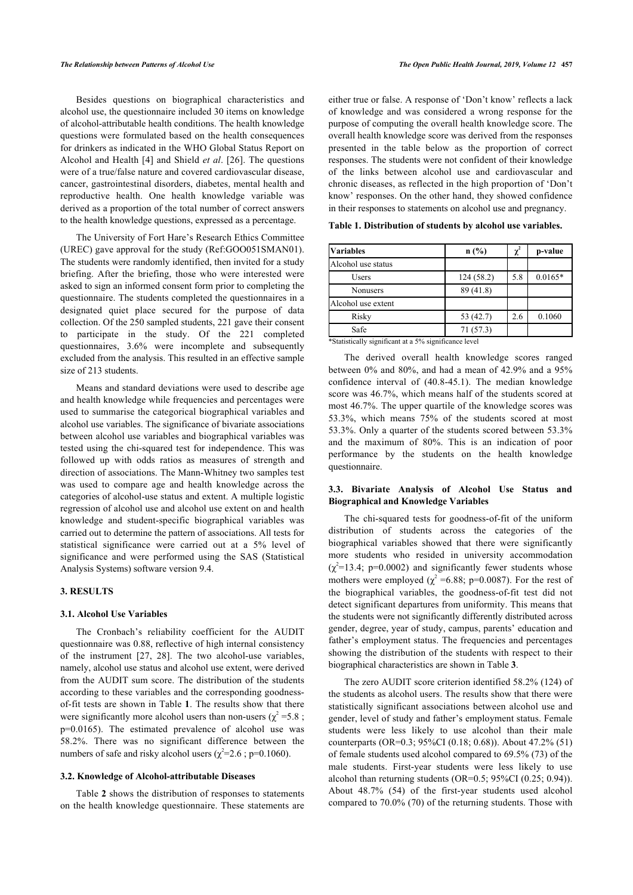Besides questions on biographical characteristics and alcohol use, the questionnaire included 30 items on knowledge of alcohol-attributable health conditions. The health knowledge questions were formulated based on the health consequences for drinkers as indicated in the WHO Global Status Report on Alcohol and Health [[4](#page-8-3)] and Shield *et al*. [\[26\]](#page-8-24). The questions were of a true/false nature and covered cardiovascular disease, cancer, gastrointestinal disorders, diabetes, mental health and reproductive health. One health knowledge variable was derived as a proportion of the total number of correct answers to the health knowledge questions, expressed as a percentage.

<span id="page-2-0"></span>The University of Fort Hare's Research Ethics Committee (UREC) gave approval for the study (Ref:GOO051SMAN01). The students were randomly identified, then invited for a study briefing. After the briefing, those who were interested were asked to sign an informed consent form prior to completing the questionnaire. The students completed the questionnaires in a designated quiet place secured for the purpose of data collection. Of the 250 sampled students, 221 gave their consent to participate in the study. Of the 221 completed questionnaires, 3.6% were incomplete and subsequently excluded from the analysis. This resulted in an effective sample size of 213 students.

Means and standard deviations were used to describe age and health knowledge while frequencies and percentages were used to summarise the categorical biographical variables and alcohol use variables. The significance of bivariate associations between alcohol use variables and biographical variables was tested using the chi-squared test for independence. This was followed up with odds ratios as measures of strength and direction of associations. The Mann-Whitney two samples test was used to compare age and health knowledge across the categories of alcohol-use status and extent. A multiple logistic regression of alcohol use and alcohol use extent on and health knowledge and student-specific biographical variables was carried out to determine the pattern of associations. All tests for statistical significance were carried out at a 5% level of significance and were performed using the SAS (Statistical Analysis Systems) software version 9.4.

## **3. RESULTS**

## **3.1. Alcohol Use Variables**

The Cronbach's reliability coefficient for the AUDIT questionnaire was 0.88, reflective of high internal consistency of the instrument[[27,](#page-8-25) [28\]](#page-8-26). The two alcohol-use variables, namely, alcohol use status and alcohol use extent, were derived from the AUDIT sum score. The distribution of the students according to these variables and the corresponding goodnessof-fit tests are shown in Table **[1](#page-2-0)**. The results show that there were significantly more alcohol users than non-users ( $\chi^2$  =5.8; p=0.0165). The estimated prevalence of alcohol use was 58.2%. There was no significant difference between the numbers of safe and risky alcohol users ( $\chi^2$ =2.6; p=0.1060).

#### **3.2. Knowledge of Alcohol-attributable Diseases**

Table **[2](#page-3-0)** shows the distribution of responses to statements on the health knowledge questionnaire. These statements are

either true or false. A response of 'Don't know' reflects a lack of knowledge and was considered a wrong response for the purpose of computing the overall health knowledge score. The overall health knowledge score was derived from the responses presented in the table below as the proportion of correct responses. The students were not confident of their knowledge of the links between alcohol use and cardiovascular and chronic diseases, as reflected in the high proportion of 'Don't know' responses. On the other hand, they showed confidence in their responses to statements on alcohol use and pregnancy.

|  |  |  |  |  |  |  |  |  |  | Table 1. Distribution of students by alcohol use variables. |  |
|--|--|--|--|--|--|--|--|--|--|-------------------------------------------------------------|--|
|  |  |  |  |  |  |  |  |  |  |                                                             |  |

| <b>Variables</b>   | $n$ (%)   | $\chi^2$ | p-value   |
|--------------------|-----------|----------|-----------|
| Alcohol use status |           |          |           |
| Users              | 124(58.2) | 5.8      | $0.0165*$ |
| <b>Nonusers</b>    | 89 (41.8) |          |           |
| Alcohol use extent |           |          |           |
| Risky              | 53 (42.7) | 2.6      | 0.1060    |
| Safe               | 71(57.3)  |          |           |

\*Statistically significant at a 5% significance level

The derived overall health knowledge scores ranged between 0% and 80%, and had a mean of 42.9% and a 95% confidence interval of (40.8-45.1). The median knowledge score was 46.7%, which means half of the students scored at most 46.7%. The upper quartile of the knowledge scores was 53.3%, which means 75% of the students scored at most 53.3%. Only a quarter of the students scored between 53.3% and the maximum of 80%. This is an indication of poor performance by the students on the health knowledge questionnaire.

## **3.3. Bivariate Analysis of Alcohol Use Status and Biographical and Knowledge Variables**

The chi-squared tests for goodness-of-fit of the uniform distribution of students across the categories of the biographical variables showed that there were significantly more students who resided in university accommodation  $(\chi^2=13.4; \text{ p}=0.0002)$  and significantly fewer students whose mothers were employed ( $\chi^2$  =6.88; p=0.0087). For the rest of the biographical variables, the goodness-of-fit test did not detect significant departures from uniformity. This means that the students were not significantly differently distributed across gender, degree, year of study, campus, parents' education and father's employment status. The frequencies and percentages showing the distribution of the students with respect to their biographical characteristics are shown in Table **[3](#page-3-1)**.

The zero AUDIT score criterion identified 58.2% (124) of the students as alcohol users. The results show that there were statistically significant associations between alcohol use and gender, level of study and father's employment status. Female students were less likely to use alcohol than their male counterparts (OR=0.3; 95%CI (0.18; 0.68)). About 47.2% (51) of female students used alcohol compared to 69.5% (73) of the male students. First-year students were less likely to use alcohol than returning students (OR=0.5; 95%CI (0.25; 0.94)). About 48.7% (54) of the first-year students used alcohol compared to 70.0% (70) of the returning students. Those with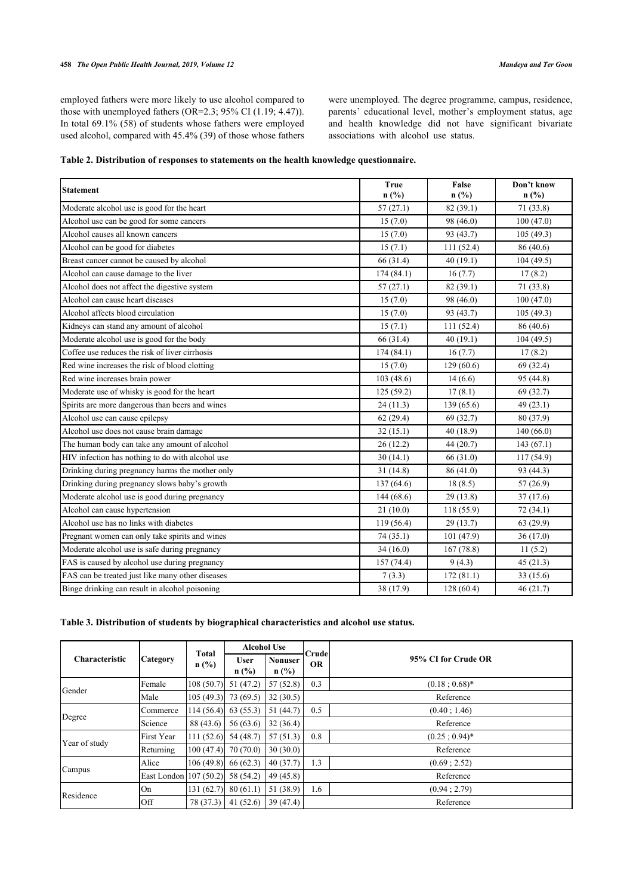employed fathers were more likely to use alcohol compared to those with unemployed fathers (OR=2.3; 95% CI (1.19; 4.47)). In total 69.1% (58) of students whose fathers were employed used alcohol, compared with 45.4% (39) of those whose fathers were unemployed. The degree programme, campus, residence, parents' educational level, mother's employment status, age and health knowledge did not have significant bivariate associations with alcohol use status.

<span id="page-3-0"></span>

|  |  |  |  | Table 2. Distribution of responses to statements on the health knowledge questionnaire. |  |  |  |
|--|--|--|--|-----------------------------------------------------------------------------------------|--|--|--|
|--|--|--|--|-----------------------------------------------------------------------------------------|--|--|--|

| <b>Statement</b>                                 | <b>True</b><br>$n$ (%) | False<br>n(%) | Don't know<br>$n$ (%) |
|--------------------------------------------------|------------------------|---------------|-----------------------|
| Moderate alcohol use is good for the heart       | 57(27.1)               | 82 (39.1)     | 71 (33.8)             |
| Alcohol use can be good for some cancers         | 15(7.0)                | 98 (46.0)     | 100(47.0)             |
| Alcohol causes all known cancers                 | 15(7.0)                | 93 (43.7)     | 105(49.3)             |
| Alcohol can be good for diabetes                 | 15(7.1)                | 111 (52.4)    | 86 (40.6)             |
| Breast cancer cannot be caused by alcohol        | 66 (31.4)              | 40(19.1)      | 104(49.5)             |
| Alcohol can cause damage to the liver            | 174(84.1)              | 16(7.7)       | 17(8.2)               |
| Alcohol does not affect the digestive system     | 57(27.1)               | 82 (39.1)     | 71 (33.8)             |
| Alcohol can cause heart diseases                 | 15(7.0)                | 98 (46.0)     | 100(47.0)             |
| Alcohol affects blood circulation                | 15(7.0)                | 93 (43.7)     | 105(49.3)             |
| Kidneys can stand any amount of alcohol          | 15(7.1)                | 111 (52.4)    | 86 (40.6)             |
| Moderate alcohol use is good for the body        | 66 (31.4)              | 40(19.1)      | 104(49.5)             |
| Coffee use reduces the risk of liver cirrhosis   | 174(84.1)              | 16(7.7)       | 17(8.2)               |
| Red wine increases the risk of blood clotting    | 15(7.0)                | 129(60.6)     | 69 (32.4)             |
| Red wine increases brain power                   | 103 (48.6)             | 14(6.6)       | 95 (44.8)             |
| Moderate use of whisky is good for the heart     | 125(59.2)              | 17(8.1)       | 69 (32.7)             |
| Spirits are more dangerous than beers and wines  | 24(11.3)               | 139 (65.6)    | 49 (23.1)             |
| Alcohol use can cause epilepsy                   | 62(29.4)               | 69 (32.7)     | 80 (37.9)             |
| Alcohol use does not cause brain damage          | 32(15.1)               | 40 (18.9)     | 140(66.0)             |
| The human body can take any amount of alcohol    | 26(12.2)               | 44(20.7)      | 143(67.1)             |
| HIV infection has nothing to do with alcohol use | 30(14.1)               | 66 (31.0)     | 117 (54.9)            |
| Drinking during pregnancy harms the mother only  | 31(14.8)               | 86 (41.0)     | 93 (44.3)             |
| Drinking during pregnancy slows baby's growth    | 137(64.6)              | 18(8.5)       | 57(26.9)              |
| Moderate alcohol use is good during pregnancy    | 144(68.6)              | 29(13.8)      | 37(17.6)              |
| Alcohol can cause hypertension                   | 21(10.0)               | 118 (55.9)    | 72 (34.1)             |
| Alcohol use has no links with diabetes           | 119(56.4)              | 29(13.7)      | 63(29.9)              |
| Pregnant women can only take spirits and wines   | 74(35.1)               | 101 (47.9)    | 36(17.0)              |
| Moderate alcohol use is safe during pregnancy    | 34(16.0)               | 167(78.8)     | 11(5.2)               |
| FAS is caused by alcohol use during pregnancy    | 157(74.4)              | 9(4.3)        | 45(21.3)              |
| FAS can be treated just like many other diseases | 7(3.3)                 | 172(81.1)     | 33 (15.6)             |
| Binge drinking can result in alcohol poisoning   | 38 (17.9)              | 128(60.4)     | 46(21.7)              |

## <span id="page-3-1"></span>**Table 3. Distribution of students by biographical characteristics and alcohol use status.**

|                       |                        | <b>Total</b> | <b>Alcohol Use</b>     |                           | Crude     |                     |
|-----------------------|------------------------|--------------|------------------------|---------------------------|-----------|---------------------|
| <b>Characteristic</b> | <b>Category</b>        | n(%)         | <b>User</b><br>$n$ (%) | <b>Nonuser</b><br>$n$ (%) | <b>OR</b> | 95% CI for Crude OR |
| Gender                | Female                 | 108(50.7)    | 51(47.2)               | 57(52.8)                  | 0.3       | $(0.18:0.68)$ *     |
|                       | Male                   | 105(49.3)    | 73 (69.5)              | 32(30.5)                  |           | Reference           |
|                       | Commerce               | 114(56.4)    | 63(55.3)               | 51(44.7)                  | 0.5       | (0.40; 1.46)        |
| Degree                | Science                | 88 (43.6)    | 56(63.6)               | 32(36.4)                  |           | Reference           |
| Year of study         | First Year             | 111(52.6)    | 54 (48.7)              | 57(51.3)                  | 0.8       | $(0.25:0.94)^*$     |
|                       | Returning              | 100(47.4)    | 70(70.0)               | 30(30.0)                  |           | Reference           |
|                       | Alice                  | 106(49.8)    | 66(62.3)               | 40(37.7)                  | 1.3       | (0.69; 2.52)        |
| Campus                | East London 107 (50.2) |              | 58 (54.2)              | 49(45.8)                  |           | Reference           |
| Residence             | On                     | 131(62.7)    | 80(61.1)               | 51 (38.9)                 | 1.6       | (0.94; 2.79)        |
|                       | Off                    | 78 (37.3)    | 41(52.6)               | 39(47.4)                  |           | Reference           |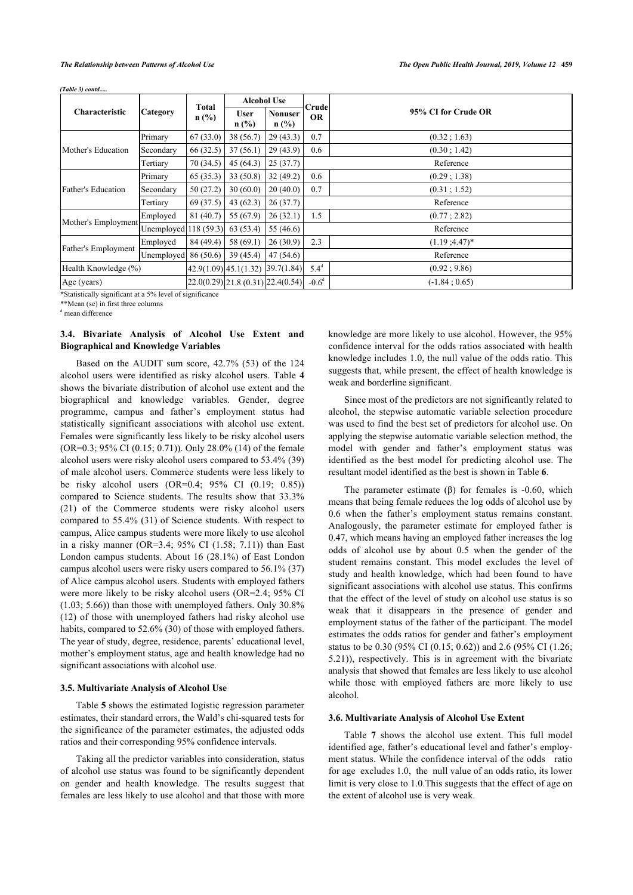|                      |                        |                         | <b>Alcohol Use</b>                                         |                           |                    |                     |
|----------------------|------------------------|-------------------------|------------------------------------------------------------|---------------------------|--------------------|---------------------|
| Characteristic       | Category               | <b>Total</b><br>$n$ (%) | <b>User</b><br>$n$ (%)                                     | <b>Nonuser</b><br>$n$ (%) | Crude<br><b>OR</b> | 95% CI for Crude OR |
|                      | Primary                | 67(33.0)                | 38 (56.7)                                                  | 29(43.3)                  | 0.7                | (0.32; 1.63)        |
| Mother's Education   | Secondary              | 66 (32.5)               | 37(56.1)                                                   | 29(43.9)                  | 0.6                | (0.30; 1.42)        |
|                      | Tertiary               | 70(34.5)                | 45(64.3)                                                   | 25(37.7)                  |                    | Reference           |
| Father's Education   | Primary                | 65(35.3)                | 33(50.8)                                                   | 32(49.2)                  | 0.6                | (0.29; 1.38)        |
|                      | Secondary              | 50(27.2)                | 30(60.0)                                                   | 20(40.0)                  | 0.7                | (0.31; 1.52)        |
|                      | Tertiary               | 69 (37.5)               | 43(62.3)                                                   | 26(37.7)                  |                    | Reference           |
|                      | Employed               | 81(40.7)                | 55(67.9)                                                   | 26(32.1)                  | 1.5                | (0.77; 2.82)        |
| Mother's Employment  | Unemployed $118(59.3)$ |                         | 63 (53.4)                                                  | 55 (46.6)                 |                    | Reference           |
|                      | Employed               | 84 (49.4)               | 58(69.1)                                                   | 26(30.9)                  | 2.3                | $(1.19; 4.47)^*$    |
| Father's Employment  | Unemployed             | 86 (50.6)               | 39(45.4)                                                   | 47(54.6)                  |                    | Reference           |
| Health Knowledge (%) |                        |                         | $\left[42.9(1.09)\right]45.1(1.32)\left[39.7(1.84)\right]$ |                           | $5.4^d$            | (0.92; 9.86)        |
| Age (years)          |                        |                         | $22.0(0.29)$ $21.8(0.31)$ $22.4(0.54)$                     |                           | $-0.6d$            | $(-1.84:0.65)$      |

*(Table 3) contd.....*

**\***Statistically significant at a 5% level of significance

\*\*Mean (se) in first three columns

d mean difference

## **3.4. Bivariate Analysis of Alcohol Use Extent and Biographical and Knowledge Variables**

Based on the AUDIT sum score, 42.7% (53) of the 124 alcohol users were identified as risky alcohol users. Table **[4](#page-4-0)** shows the bivariate distribution of alcohol use extent and the biographical and knowledge variables. Gender, degree programme, campus and father's employment status had statistically significant associations with alcohol use extent. Females were significantly less likely to be risky alcohol users (OR=0.3; 95% CI (0.15; 0.71)). Only 28.0% (14) of the female alcohol users were risky alcohol users compared to 53.4% (39) of male alcohol users. Commerce students were less likely to be risky alcohol users (OR=0.4; 95% CI (0.19; 0.85)) compared to Science students. The results show that 33.3% (21) of the Commerce students were risky alcohol users compared to 55.4% (31) of Science students. With respect to campus, Alice campus students were more likely to use alcohol in a risky manner (OR=3.4;  $95\%$  CI (1.58; 7.11)) than East London campus students. About 16 (28.1%) of East London campus alcohol users were risky users compared to 56.1% (37) of Alice campus alcohol users. Students with employed fathers were more likely to be risky alcohol users (OR=2.4; 95% CI (1.03; 5.66)) than those with unemployed fathers. Only 30.8% (12) of those with unemployed fathers had risky alcohol use habits, compared to 52.6% (30) of those with employed fathers. The year of study, degree, residence, parents' educational level, mother's employment status, age and health knowledge had no significant associations with alcohol use.

#### **3.5. Multivariate Analysis of Alcohol Use**

Table **[5](#page-4-0)** shows the estimated logistic regression parameter estimates, their standard errors, the Wald's chi-squared tests for the significance of the parameter estimates, the adjusted odds ratios and their corresponding 95% confidence intervals.

<span id="page-4-0"></span>Taking all the predictor variables into consideration, status of alcohol use status was found to be significantly dependent on gender and health knowledge. The results suggest that females are less likely to use alcohol and that those with more knowledge are more likely to use alcohol. However, the 95% confidence interval for the odds ratios associated with health knowledge includes 1.0, the null value of the odds ratio. This suggests that, while present, the effect of health knowledge is weak and borderline significant.

Since most of the predictors are not significantly related to alcohol, the stepwise automatic variable selection procedure was used to find the best set of predictors for alcohol use. On applying the stepwise automatic variable selection method, the model with gender and father's employment status was identified as the best model for predicting alcohol use. The resultant model identified as the best is shown in Table **[6](#page-6-0)**.

The parameter estimate (β) for females is -0.60, which means that being female reduces the log odds of alcohol use by 0.6 when the father's employment status remains constant. Analogously, the parameter estimate for employed father is 0.47, which means having an employed father increases the log odds of alcohol use by about 0.5 when the gender of the student remains constant. This model excludes the level of study and health knowledge, which had been found to have significant associations with alcohol use status. This confirms that the effect of the level of study on alcohol use status is so weak that it disappears in the presence of gender and employment status of the father of the participant. The model estimates the odds ratios for gender and father's employment status to be 0.30 (95% CI (0.15; 0.62)) and 2.6 (95% CI (1.26; 5.21)), respectively. This is in agreement with the bivariate analysis that showed that females are less likely to use alcohol while those with employed fathers are more likely to use alcohol.

#### **3.6. Multivariate Analysis of Alcohol Use Extent**

Table**7** shows the alcohol use extent. This full model identified age, father's educational level and father's employment status. While the confidence interval of the odds ratio for age excludes 1.0, the null value of an odds ratio, its lower limit is very close to 1.0.This suggests that the effect of age on the extent of alcohol use is very weak.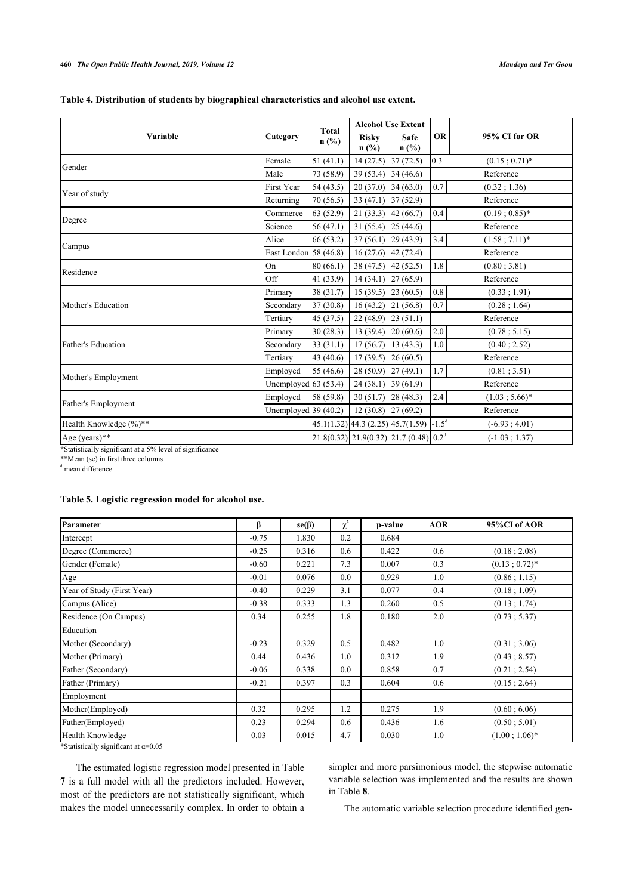|  | Table 4. Distribution of students by biographical characteristics and alcohol use extent. |  |  |
|--|-------------------------------------------------------------------------------------------|--|--|
|--|-------------------------------------------------------------------------------------------|--|--|

|                        |                       |                         |                                      | <b>Alcohol Use Extent</b>                             |           |                         |
|------------------------|-----------------------|-------------------------|--------------------------------------|-------------------------------------------------------|-----------|-------------------------|
| Variable               | Category              | <b>Total</b><br>$n$ (%) | <b>Risky</b><br>$n$ (%)              | Safe<br>$n$ (%)                                       | <b>OR</b> | 95% CI for OR           |
| Gender                 | Female                | 51(41.1)                | 14(27.5)                             | 37(72.5)                                              | 0.3       | $(0.15 \; ; \; 0.71)^*$ |
|                        | Male                  | 73 (58.9)               | 39 (53.4) 34 (46.6)                  |                                                       |           | Reference               |
| Year of study          | <b>First Year</b>     | 54 (43.5)               | $20(37.0)$ 34 (63.0)                 |                                                       | $0.7\,$   | (0.32; 1.36)            |
|                        | Returning             | 70 (56.5)               | 33 (47.1) 37 (52.9)                  |                                                       |           | Reference               |
| Degree                 | Commerce              | 63(52.9)                | $21(33.3)$ 42 (66.7)                 |                                                       | 0.4       | $(0.19:0.85)*$          |
|                        | Science               | 56(47.1)                | 31 $(55.4)$ 25 $(44.6)$              |                                                       |           | Reference               |
| Campus                 | Alice                 | 66 (53.2)               | $37(56.1)$ 29 (43.9)                 |                                                       | 3.4       | $(1.58; 7.11)^*$        |
|                        | East London 58 (46.8) |                         | $16(27.6)$ 42 (72.4)                 |                                                       |           | Reference               |
| Residence              | On                    | 80 (66.1)               | 38 (47.5) 42 (52.5)                  |                                                       | 1.8       | (0.80; 3.81)            |
|                        | Off                   | 41 (33.9)               | $14(34.1)$ 27 (65.9)                 |                                                       |           | Reference               |
|                        | Primary               | 38(31.7)                | 15 (39.5) [23 (60.5)                 |                                                       | 0.8       | (0.33; 1.91)            |
| Mother's Education     | Secondary             | 37(30.8)                | $16(43.2)$ 21 (56.8)                 |                                                       | 0.7       | (0.28; 1.64)            |
|                        | Tertiary              | 45 (37.5)               | 22(48.9)                             | 23(51.1)                                              |           | Reference               |
|                        | Primary               | 30(28.3)                | 13 (39.4) $\big  20 \, (60.6) \big $ |                                                       | 2.0       | (0.78; 5.15)            |
| Father's Education     | Secondary             | 33(31.1)                | $17(56.7)$ 13 (43.3)                 |                                                       | 1.0       | (0.40; 2.52)            |
|                        | Tertiary              | 43 (40.6)               | 17 (39.5) $\big  26 (60.5) \big $    |                                                       |           | Reference               |
| Mother's Employment    | Employed              | 55 $(46.6)$             | 28 (50.9) 27 (49.1)                  |                                                       | 1.7       | (0.81; 3.51)            |
|                        | Unemployed $63(53.4)$ |                         | $24(38.1)$ 39 (61.9)                 |                                                       |           | Reference               |
| Father's Employment    | Employed              | 58 (59.8)               | 30(51.7)                             | 28(48.3)                                              | $2.4$     | $(1.03; 5.66)^*$        |
|                        | Unemployed $39(40.2)$ |                         | $12(30.8)$ 27 (69.2)                 |                                                       |           | Reference               |
| Health Knowledge (%)** |                       |                         |                                      | $45.1(1.32)$ 44.3 (2.25) 45.7(1.59) -1.5 <sup>d</sup> |           | $(-6.93; 4.01)$         |
| Age (years)**          |                       |                         |                                      | $21.8(0.32)$ $21.9(0.32)$ $21.7(0.48)$ $0.2d$         |           | $(-1.03; 1.37)$         |

**\***Statistically significant at a 5% level of significance

\*\*Mean (se) in first three columns

d mean difference

## **Table 5. Logistic regression model for alcohol use.**

| Parameter                  | β       | $se(\beta)$ | $\chi^2$ | p-value | <b>AOR</b> | 95%CI of AOR    |
|----------------------------|---------|-------------|----------|---------|------------|-----------------|
| Intercept                  | $-0.75$ | 1.830       | 0.2      | 0.684   |            |                 |
| Degree (Commerce)          | $-0.25$ | 0.316       | 0.6      | 0.422   | 0.6        | (0.18; 2.08)    |
| Gender (Female)            | $-0.60$ | 0.221       | 7.3      | 0.007   | 0.3        | $(0.13:0.72)^*$ |
| Age                        | $-0.01$ | 0.076       | 0.0      | 0.929   | 1.0        | (0.86; 1.15)    |
| Year of Study (First Year) | $-0.40$ | 0.229       | 3.1      | 0.077   | 0.4        | (0.18; 1.09)    |
| Campus (Alice)             | $-0.38$ | 0.333       | 1.3      | 0.260   | 0.5        | (0.13; 1.74)    |
| Residence (On Campus)      | 0.34    | 0.255       | 1.8      | 0.180   | 2.0        | (0.73; 5.37)    |
| Education                  |         |             |          |         |            |                 |
| Mother (Secondary)         | $-0.23$ | 0.329       | 0.5      | 0.482   | 1.0        | (0.31; 3.06)    |
| Mother (Primary)           | 0.44    | 0.436       | 1.0      | 0.312   | 1.9        | (0.43; 8.57)    |
| Father (Secondary)         | $-0.06$ | 0.338       | 0.0      | 0.858   | 0.7        | (0.21; 2.54)    |
| Father (Primary)           | $-0.21$ | 0.397       | 0.3      | 0.604   | 0.6        | (0.15; 2.64)    |
| Employment                 |         |             |          |         |            |                 |
| Mother(Employed)           | 0.32    | 0.295       | 1.2      | 0.275   | 1.9        | (0.60; 6.06)    |
| Father(Employed)           | 0.23    | 0.294       | 0.6      | 0.436   | 1.6        | (0.50; 5.01)    |
| Health Knowledge           | 0.03    | 0.015       | 4.7      | 0.030   | 1.0        | $(1.00:1.06)^*$ |

\*Statistically significant at  $\alpha$ =0.05

The estimated logistic regression model presented in Table **[7](#page-6-1)** is a full model with all the predictors included. However, most of the predictors are not statistically significant, which makes the model unnecessarily complex. In order to obtain a

simpler and more parsimonious model, the stepwise automatic variable selection was implemented and the results are shown in Table **[8](#page-7-0)**.

The automatic variable selection procedure identified gen-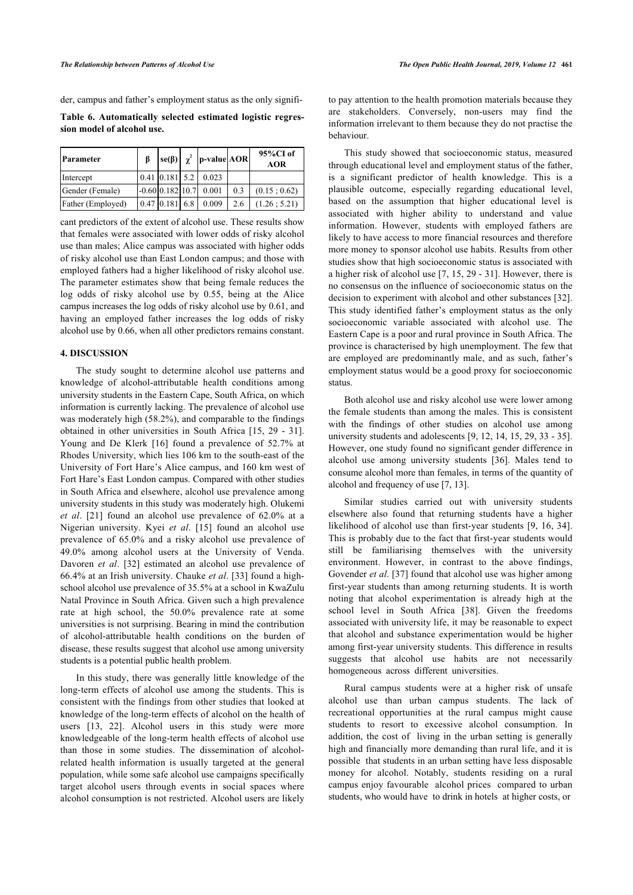der, campus and father's employment status as the only signifi-

<span id="page-6-0"></span>**Table 6. Automatically selected estimated logistic regression model of alcohol use.**

| Parameter         |                  | $\left  \text{se}(\beta) \right  \chi^2$   p-value  AOR |     | $95\%$ CI of<br><b>AOR</b> |
|-------------------|------------------|---------------------------------------------------------|-----|----------------------------|
| Intercept         |                  | $0.41$ 0.181 5.2 0.023                                  |     |                            |
| Gender (Female)   |                  | $-0.60[0.182]10.7]0.001$                                | 0.3 | (0.15:0.62)                |
| Father (Employed) | $0.47$ 0.181 6.8 | 0.009                                                   | 2.6 | (1.26:5.21)                |

cant predictors of the extent of alcohol use. These results show that females were associated with lower odds of risky alcohol use than males; Alice campus was associated with higher odds of risky alcohol use than East London campus; and those with employed fathers had a higher likelihood of risky alcohol use. The parameter estimates show that being female reduces the log odds of risky alcohol use by 0.55, being at the Alice campus increases the log odds of risky alcohol use by 0.61, and having an employed father increases the log odds of risky alcohol use by 0.66, when all other predictors remains constant.

## **4. DISCUSSION**

The study sought to determine alcohol use patterns and knowledge of alcohol-attributable health conditions among university students in the Eastern Cape, South Africa, on which information is currently lacking. The prevalence of alcohol use was moderately high (58.2%), and comparable to the findings obtained in other universities in South Africa [\[15,](#page-8-15) [29](#page-8-27) - [31\]](#page-8-28). Young and De Klerk[[16](#page-8-13)] found a prevalence of 52.7% at Rhodes University, which lies 106 km to the south-east of the University of Fort Hare's Alice campus, and 160 km west of Fort Hare's East London campus. Compared with other studies in South Africa and elsewhere, alcohol use prevalence among university students in this study was moderately high. Olukemi *et al*. [\[21\]](#page-8-19) found an alcohol use prevalence of 62.0% at a Nigerian university. Kyei *et al*. [\[15](#page-8-15)] found an alcohol use prevalence of 65.0% and a risky alcohol use prevalence of 49.0% among alcohol users at the University of Venda. Davoren *et al*. [\[32\]](#page-8-29) estimated an alcohol use prevalence of 66.4% at an Irish university. Chauke *et al*. [[33](#page-8-30)] found a highschool alcohol use prevalence of 35.5% at a school in KwaZulu Natal Province in South Africa. Given such a high prevalence rate at high school, the 50.0% prevalence rate at some universities is not surprising. Bearing in mind the contribution of alcohol-attributable health conditions on the burden of disease, these results suggest that alcohol use among university students is a potential public health problem.

<span id="page-6-1"></span>In this study, there was generally little knowledge of the long-term effects of alcohol use among the students. This is consistent with the findings from other studies that looked at knowledge of the long-term effects of alcohol on the health of users[[13](#page-8-11), [22\]](#page-8-20). Alcohol users in this study were more knowledgeable of the long-term health effects of alcohol use than those in some studies. The dissemination of alcoholrelated health information is usually targeted at the general population, while some safe alcohol use campaigns specifically target alcohol users through events in social spaces where alcohol consumption is not restricted. Alcohol users are likely

to pay attention to the health promotion materials because they are stakeholders. Conversely, non-users may find the information irrelevant to them because they do not practise the behaviour.

This study showed that socioeconomic status, measured through educational level and employment status of the father, is a significant predictor of health knowledge. This is a plausible outcome, especially regarding educational level, based on the assumption that higher educational level is associated with higher ability to understand and value information. However, students with employed fathers are likely to have access to more financial resources and therefore more money to sponsor alcohol use habits. Results from other studies show that high socioeconomic status is associated with a higher risk of alcohol use [\[7](#page-8-5), [15](#page-8-15), [29](#page-8-27) - [31](#page-8-28)]. However, there is no consensus on the influence of socioeconomic status on the decision to experiment with alcohol and other substances [\[32](#page-8-29)]. This study identified father's employment status as the only socioeconomic variable associated with alcohol use. The Eastern Cape is a poor and rural province in South Africa. The province is characterised by high unemployment. The few that are employed are predominantly male, and as such, father's employment status would be a good proxy for socioeconomic status.

Both alcohol use and risky alcohol use were lower among the female students than among the males. This is consistent with the findings of other studies on alcohol use among university students and adolescents [[9,](#page-8-7) [12](#page-8-10), [14](#page-8-12), [15,](#page-8-15) [29,](#page-8-27) [33](#page-8-30) - [35](#page-9-0)]. However, one study found no significant gender difference in alcohol use among university students [\[36\]](#page-9-1). Males tend to consume alcohol more than females, in terms of the quantity of alcohol and frequency of use [\[7,](#page-8-5) [13](#page-8-11)].

Similar studies carried out with university students elsewhere also found that returning students have a higher likelihood of alcohol use than first-year students [\[9,](#page-8-7) [16,](#page-8-13) [34](#page-8-31)]. This is probably due to the fact that first-year students would still be familiarising themselves with the university environment. However, in contrast to the above findings, Govender *et al*. [[37\]](#page-9-2) found that alcohol use was higher among first-year students than among returning students. It is worth noting that alcohol experimentation is already high at the school level in South Africa [\[38\]](#page-9-3). Given the freedoms associated with university life, it may be reasonable to expect that alcohol and substance experimentation would be higher among first-year university students. This difference in results suggests that alcohol use habits are not necessarily homogeneous across different universities.

Rural campus students were at a higher risk of unsafe alcohol use than urban campus students. The lack of recreational opportunities at the rural campus might cause students to resort to excessive alcohol consumption. In addition, the cost of living in the urban setting is generally high and financially more demanding than rural life, and it is possible that students in an urban setting have less disposable money for alcohol. Notably, students residing on a rural campus enjoy favourable alcohol prices compared to urban students, who would have to drink in hotels at higher costs, or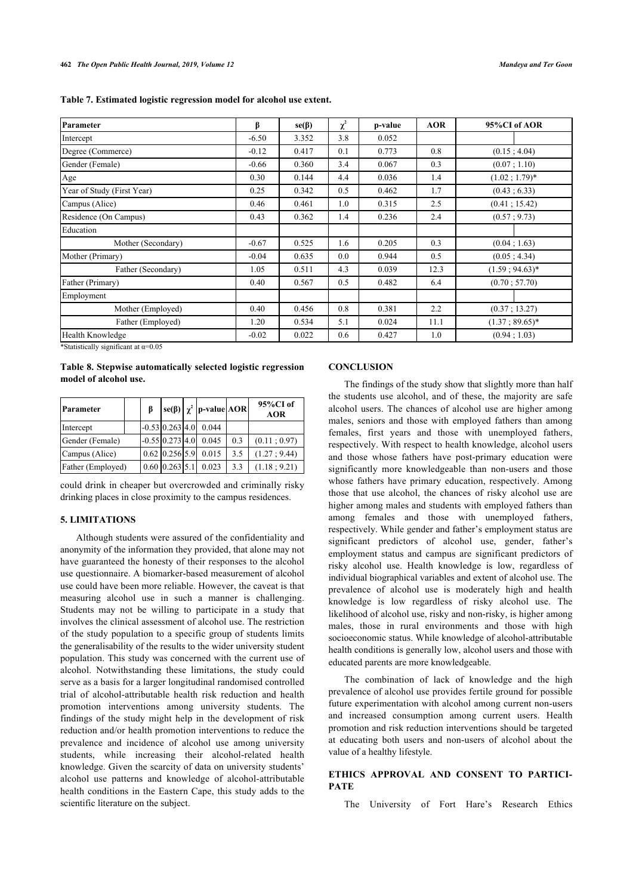| Table 7. Estimated logistic regression model for alcohol use extent. |  |  |  |
|----------------------------------------------------------------------|--|--|--|
|                                                                      |  |  |  |

| Parameter                  | β       | $se(\beta)$ | $\chi^2$ | p-value | <b>AOR</b> | 95%CI of AOR          |
|----------------------------|---------|-------------|----------|---------|------------|-----------------------|
| Intercept                  | $-6.50$ | 3.352       | 3.8      | 0.052   |            |                       |
| Degree (Commerce)          | $-0.12$ | 0.417       | 0.1      | 0.773   | 0.8        | (0.15; 4.04)          |
| Gender (Female)            | $-0.66$ | 0.360       | 3.4      | 0.067   | 0.3        | (0.07; 1.10)          |
| Age                        | 0.30    | 0.144       | 4.4      | 0.036   | 1.4        | $(1.02; 1.79)^*$      |
| Year of Study (First Year) | 0.25    | 0.342       | 0.5      | 0.462   | 1.7        | (0.43; 6.33)          |
| Campus (Alice)             | 0.46    | 0.461       | 1.0      | 0.315   | 2.5        | (0.41; 15.42)         |
| Residence (On Campus)      | 0.43    | 0.362       | 1.4      | 0.236   | 2.4        | (0.57; 9.73)          |
| Education                  |         |             |          |         |            |                       |
| Mother (Secondary)         | $-0.67$ | 0.525       | 1.6      | 0.205   | 0.3        | (0.04; 1.63)          |
| Mother (Primary)           | $-0.04$ | 0.635       | 0.0      | 0.944   | 0.5        | (0.05; 4.34)          |
| Father (Secondary)         | 1.05    | 0.511       | 4.3      | 0.039   | 12.3       | $(1.59:94.63)*$       |
| Father (Primary)           | 0.40    | 0.567       | 0.5      | 0.482   | 6.4        | (0.70; 57.70)         |
| Employment                 |         |             |          |         |            |                       |
| Mother (Employed)          | 0.40    | 0.456       | 0.8      | 0.381   | 2.2        | (0.37; 13.27)         |
| Father (Employed)          | 1.20    | 0.534       | 5.1      | 0.024   | 11.1       | $(1.37 \div 89.65)^*$ |
| Health Knowledge           | $-0.02$ | 0.022       | 0.6      | 0.427   | 1.0        | (0.94:1.03)           |

\*Statistically significant at  $\alpha$ =0.05

## <span id="page-7-0"></span>**Table 8. Stepwise automatically selected logistic regression model of alcohol use.**

| Parameter         |  |                   | $ \text{se}(\beta)  \chi^2  \text{p-value} \text{AOR} $ |     | 95%CI of<br><b>AOR</b> |
|-------------------|--|-------------------|---------------------------------------------------------|-----|------------------------|
| Intercept         |  | $-0.53$ 0.263 4.0 | 0.044                                                   |     |                        |
| Gender (Female)   |  | $-0.55$ 0.273 4.0 | 0.045                                                   | 0.3 | (0.11; 0.97)           |
| Campus (Alice)    |  | $0.62$ 0.256 5.9  | 0.015                                                   | 3.5 | (1.27:9.44)            |
| Father (Employed) |  | $0.60$ 0.263 5.1  | 0.023                                                   | 3.3 | (1.18:9.21)            |

could drink in cheaper but overcrowded and criminally risky drinking places in close proximity to the campus residences.

## **5. LIMITATIONS**

Although students were assured of the confidentiality and anonymity of the information they provided, that alone may not have guaranteed the honesty of their responses to the alcohol use questionnaire. A biomarker-based measurement of alcohol use could have been more reliable. However, the caveat is that measuring alcohol use in such a manner is challenging. Students may not be willing to participate in a study that involves the clinical assessment of alcohol use. The restriction of the study population to a specific group of students limits the generalisability of the results to the wider university student population. This study was concerned with the current use of alcohol. Notwithstanding these limitations, the study could serve as a basis for a larger longitudinal randomised controlled trial of alcohol-attributable health risk reduction and health promotion interventions among university students. The findings of the study might help in the development of risk reduction and/or health promotion interventions to reduce the prevalence and incidence of alcohol use among university students, while increasing their alcohol-related health knowledge. Given the scarcity of data on university students' alcohol use patterns and knowledge of alcohol-attributable health conditions in the Eastern Cape, this study adds to the scientific literature on the subject.

## **CONCLUSION**

The findings of the study show that slightly more than half the students use alcohol, and of these, the majority are safe alcohol users. The chances of alcohol use are higher among males, seniors and those with employed fathers than among females, first years and those with unemployed fathers, respectively. With respect to health knowledge, alcohol users and those whose fathers have post-primary education were significantly more knowledgeable than non-users and those whose fathers have primary education, respectively. Among those that use alcohol, the chances of risky alcohol use are higher among males and students with employed fathers than among females and those with unemployed fathers, respectively. While gender and father's employment status are significant predictors of alcohol use, gender, father's employment status and campus are significant predictors of risky alcohol use. Health knowledge is low, regardless of individual biographical variables and extent of alcohol use. The prevalence of alcohol use is moderately high and health knowledge is low regardless of risky alcohol use. The likelihood of alcohol use, risky and non-risky, is higher among males, those in rural environments and those with high socioeconomic status. While knowledge of alcohol-attributable health conditions is generally low, alcohol users and those with educated parents are more knowledgeable.

The combination of lack of knowledge and the high prevalence of alcohol use provides fertile ground for possible future experimentation with alcohol among current non-users and increased consumption among current users. Health promotion and risk reduction interventions should be targeted at educating both users and non-users of alcohol about the value of a healthy lifestyle.

## **ETHICS APPROVAL AND CONSENT TO PARTICI-PATE**

The University of Fort Hare's Research Ethics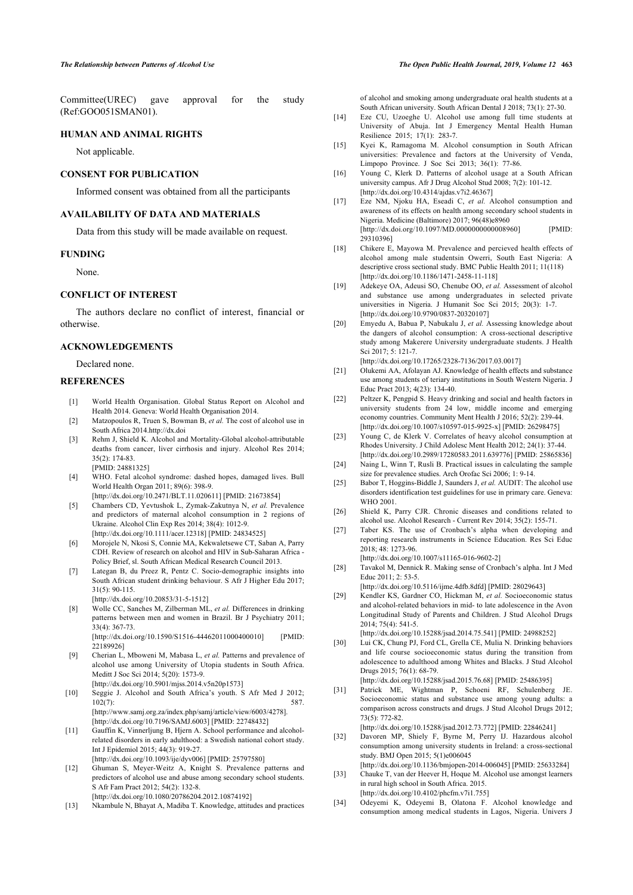<span id="page-8-12"></span>Committee(UREC) gave approval for the study (Ref:GOO051SMAN01).

### <span id="page-8-15"></span>**HUMAN AND ANIMAL RIGHTS**

Not applicable.

## <span id="page-8-13"></span>**CONSENT FOR PUBLICATION**

Informed consent was obtained from all the participants

## <span id="page-8-14"></span>**AVAILABILITY OF DATA AND MATERIALS**

Data from this study will be made available on request.

#### <span id="page-8-16"></span>**FUNDING**

None.

## <span id="page-8-17"></span>**CONFLICT OF INTEREST**

<span id="page-8-18"></span>The authors declare no conflict of interest, financial or otherwise.

## **ACKNOWLEDGEMENTS**

Declared none.

## <span id="page-8-20"></span><span id="page-8-19"></span><span id="page-8-0"></span>**REFERENCES**

- [1] World Health Organisation. Global Status Report on Alcohol and Health 2014. Geneva: World Health Organisation 2014.
- <span id="page-8-1"></span>[2] Matzopoulos R, Truen S, Bowman B, *et al.* The cost of alcohol use in South Africa 2014[.http://dx.doi](http://dx.doi)
- <span id="page-8-21"></span><span id="page-8-2"></span>[3] Rehm J, Shield K. Alcohol and Mortality-Global alcohol-attributable deaths from cancer, liver cirrhosis and injury. Alcohol Res 2014; 35(2): 174-83. [PMID: [24881325](http://www.ncbi.nlm.nih.gov/pubmed/24881325)]
- <span id="page-8-23"></span><span id="page-8-22"></span><span id="page-8-3"></span>[4] WHO. Fetal alcohol syndrome: dashed hopes, damaged lives. Bull World Health Organ 2011; 89(6): 398-9.
	- [\[http://dx.doi.org/10.2471/BLT.11.020611\]](http://dx.doi.org/10.2471/BLT.11.020611) [PMID: [21673854\]](http://www.ncbi.nlm.nih.gov/pubmed/21673854)
- <span id="page-8-24"></span>[5] Chambers CD, Yevtushok L, Zymak-Zakutnya N, *et al.* Prevalence and predictors of maternal alcohol consumption in 2 regions of Ukraine. Alcohol Clin Exp Res 2014; 38(4): 1012-9. [\[http://dx.doi.org/10.1111/acer.12318](http://dx.doi.org/10.1111/acer.12318)] [PMID: [24834525\]](http://www.ncbi.nlm.nih.gov/pubmed/24834525)
- <span id="page-8-25"></span><span id="page-8-4"></span>[6] Morojele N, Nkosi S, Connie MA, Kekwaletsewe CT, Saban A, Parry CDH. Review of research on alcohol and HIV in Sub-Saharan Africa - Policy Brief, sl. South African Medical Research Council 2013.
- <span id="page-8-26"></span><span id="page-8-5"></span>[7] Lategan B, du Preez R, Pentz C. Socio-demographic insights into South African student drinking behaviour. S Afr J Higher Edu 2017; 31(5): 90-115.
	- [\[http://dx.doi.org/10.20853/31-5-1512\]](http://dx.doi.org/10.20853/31-5-1512)
- <span id="page-8-27"></span><span id="page-8-6"></span>[8] Wolle CC, Sanches M, Zilberman ML, *et al.* Differences in drinking patterns between men and women in Brazil. Br J Psychiatry 2011; 33(4): 367-73. [\[http://dx.doi.org/10.1590/S1516-44462011000400010\]](http://dx.doi.org/10.1590/S1516-44462011000400010) [PMID:

[22189926\]](http://www.ncbi.nlm.nih.gov/pubmed/22189926)

- <span id="page-8-7"></span>[9] Cherian L, Mboweni M, Mabasa L, *et al.* Patterns and prevalence of alcohol use among University of Utopia students in South Africa. Meditt J Soc Sci 2014; 5(20): 1573-9. [\[http://dx.doi.org/10.5901/mjss.2014.v5n20p1573\]](http://dx.doi.org/10.5901/mjss.2014.v5n20p1573)
- <span id="page-8-28"></span><span id="page-8-8"></span>[10] Seggie J. Alcohol and South Africa's youth. S Afr Med J 2012; 102(7): 587. [http://www.samj.org.za/index.php/samj/article/view/6003/4278]. [\[http://dx.doi.org/10.7196/SAMJ.6003\]](http://dx.doi.org/10.7196/SAMJ.6003) [PMID: [22748432](http://www.ncbi.nlm.nih.gov/pubmed/22748432)]
- <span id="page-8-29"></span><span id="page-8-9"></span>[11] Gauffin K, Vinnerljung B, Hjern A. School performance and alcoholrelated disorders in early adulthood: a Swedish national cohort study. Int J Epidemiol 2015; 44(3): 919-27. [\[http://dx.doi.org/10.1093/ije/dyv006](http://dx.doi.org/10.1093/ije/dyv006)] [PMID: [25797580\]](http://www.ncbi.nlm.nih.gov/pubmed/25797580)
- <span id="page-8-30"></span><span id="page-8-10"></span>[12] Ghuman S, Meyer-Weitz A, Knight S. Prevalence patterns and predictors of alcohol use and abuse among secondary school students. S Afr Fam Pract 2012; 54(2): 132-8. [\[http://dx.doi.org/10.1080/20786204.2012.10874192\]](http://dx.doi.org/10.1080/20786204.2012.10874192)
- <span id="page-8-31"></span><span id="page-8-11"></span>[13] Nkambule N, Bhayat A, Madiba T. Knowledge, attitudes and practices

of alcohol and smoking among undergraduate oral health students at a South African university. South African Dental J 2018; 73(1): 27-30.

- [14] Eze CU, Uzoeghe U. Alcohol use among full time students at University of Abuja. Int J Emergency Mental Health Human Resilience 2015; 17(1): 283-7.
- [15] Kyei K, Ramagoma M. Alcohol consumption in South African universities: Prevalence and factors at the University of Venda, Limpopo Province. J Soc Sci 2013; 36(1): 77-86.
- [16] Young C, Klerk D. Patterns of alcohol usage at a South African university campus. Afr J Drug Alcohol Stud 2008; 7(2): 101-12. [\[http://dx.doi.org/10.4314/ajdas.v7i2.46367](http://dx.doi.org/10.4314/ajdas.v7i2.46367)]
- [17] Eze NM, Njoku HA, Eseadi C, *et al.* Alcohol consumption and awareness of its effects on health among secondary school students in Nigeria. Medicine (Baltimore) 2017; 96(48)e8960 [\[http://dx.doi.org/10.1097/MD.0000000000008960](http://dx.doi.org/10.1097/MD.0000000000008960)] [PMID: [29310396\]](http://www.ncbi.nlm.nih.gov/pubmed/29310396)
- [18] Chikere E, Mayowa M. Prevalence and percieved health effects of alcohol among male studentsin Owerri, South East Nigeria: A descriptive cross sectional study. BMC Public Health 2011; 11(118) [\[http://dx.doi.org/10.1186/1471-2458-11-118\]](http://dx.doi.org/10.1186/1471-2458-11-118)
- [19] Adekeye OA, Adeusi SO, Chenube OO, *et al.* Assessment of alcohol and substance use among undergraduates in selected private universities in Nigeria. J Humanit Soc Sci 2015; 20(3): 1-7. [\[http://dx.doi.org/10.9790/0837-20320107\]](http://dx.doi.org/10.9790/0837-20320107)
- [20] Emyedu A, Babua P, Nabukalu J, *et al.* Assessing knowledge about the dangers of alcohol consumption: A cross-sectional descriptive study among Makerere University undergraduate students. J Health Sci 2017; 5: 121-7.

[\[http://dx.doi.org/10.17265/2328-7136/2017.03.0017\]](http://dx.doi.org/10.17265/2328-7136/2017.03.0017)

- [21] Olukemi AA, Afolayan AJ. Knowledge of health effects and substance use among students of teriary institutions in South Western Nigeria. J Educ Pract 2013; 4(23): 134-40.
- [22] Peltzer K, Pengpid S. Heavy drinking and social and health factors in university students from 24 low, middle income and emerging economy countries. Community Ment Health J 2016; 52(2): 239-44. [\[http://dx.doi.org/10.1007/s10597-015-9925-x\]](http://dx.doi.org/10.1007/s10597-015-9925-x) [PMID: [26298475](http://www.ncbi.nlm.nih.gov/pubmed/26298475)]
- [23] Young C, de Klerk V. Correlates of heavy alcohol consumption at Rhodes University. J Child Adolesc Ment Health 2012; 24(1): 37-44. [\[http://dx.doi.org/10.2989/17280583.2011.639776\]](http://dx.doi.org/10.2989/17280583.2011.639776) [PMID: [25865836\]](http://www.ncbi.nlm.nih.gov/pubmed/25865836)
- [24] Naing L, Winn T, Rusli B. Practical issues in calculating the sample size for prevalence studies. Arch Orofac Sci 2006; 1: 9-14.
- [25] Babor T, Hoggins-Biddle J, Saunders J, *et al.* AUDIT: The alcohol use disorders identification test guidelines for use in primary care. Geneva: WHO 2001.
- [26] Shield K, Parry CJR. Chronic diseases and conditions related to alcohol use. Alcohol Research - Current Rev 2014; 35(2): 155-71.
- [27] Taber KS. The use of Cronbach's alpha when developing and reporting research instruments in Science Education. Res Sci Educ 2018; 48: 1273-96.

[\[http://dx.doi.org/10.1007/s11165-016-9602-2\]](http://dx.doi.org/10.1007/s11165-016-9602-2)

[28] Tavakol M, Dennick R. Making sense of Cronbach's alpha. Int J Med Educ 2011; 2: 53-5.

[\[http://dx.doi.org/10.5116/ijme.4dfb.8dfd](http://dx.doi.org/10.5116/ijme.4dfb.8dfd)] [PMID: [28029643\]](http://www.ncbi.nlm.nih.gov/pubmed/28029643)

- [29] Kendler KS, Gardner CO, Hickman M, *et al.* Socioeconomic status and alcohol-related behaviors in mid- to late adolescence in the Avon Longitudinal Study of Parents and Children. J Stud Alcohol Drugs 2014; 75(4): 541-5. [\[http://dx.doi.org/10.15288/jsad.2014.75.541\]](http://dx.doi.org/10.15288/jsad.2014.75.541) [PMID: [24988252\]](http://www.ncbi.nlm.nih.gov/pubmed/24988252)
- [30] Lui CK, Chung PJ, Ford CL, Grella CE, Mulia N. Drinking behaviors and life course socioeconomic status during the transition from adolescence to adulthood among Whites and Blacks. J Stud Alcohol Drugs 2015; 76(1): 68-79.

[\[http://dx.doi.org/10.15288/jsad.2015.76.68](http://dx.doi.org/10.15288/jsad.2015.76.68)] [PMID: [25486395](http://www.ncbi.nlm.nih.gov/pubmed/25486395)]

[31] Patrick ME, Wightman P, Schoeni RF, Schulenberg JE. Socioeconomic status and substance use among young adults: a comparison across constructs and drugs. J Stud Alcohol Drugs 2012; 73(5): 772-82.

[\[http://dx.doi.org/10.15288/jsad.2012.73.772\]](http://dx.doi.org/10.15288/jsad.2012.73.772) [PMID: [22846241\]](http://www.ncbi.nlm.nih.gov/pubmed/22846241)

- [32] Davoren MP, Shiely F, Byrne M, Perry IJ. Hazardous alcohol consumption among university students in Ireland: a cross-sectional study. BMJ Open 2015; 5(1)e006045 [\[http://dx.doi.org/10.1136/bmjopen-2014-006045\]](http://dx.doi.org/10.1136/bmjopen-2014-006045) [PMID: [25633284](http://www.ncbi.nlm.nih.gov/pubmed/25633284)]
- [33] Chauke T, van der Heever H, Hoque M. Alcohol use amongst learners in rural high school in South Africa. 2015. [\[http://dx.doi.org/10.4102/phcfm.v7i1.755\]](http://dx.doi.org/10.4102/phcfm.v7i1.755)
- [34] Odeyemi K, Odeyemi B, Olatona F. Alcohol knowledge and consumption among medical students in Lagos, Nigeria. Univers J